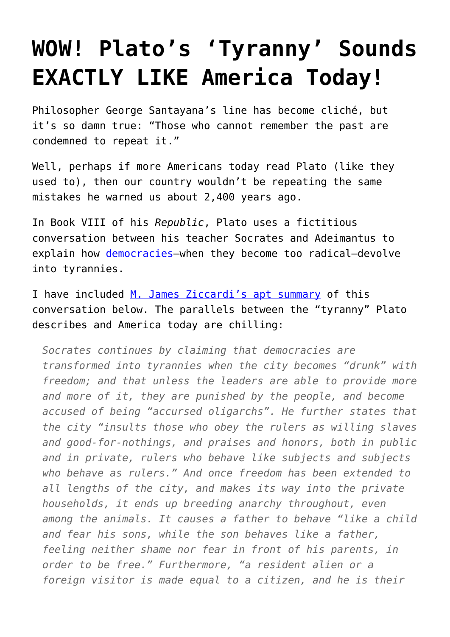## **[WOW! Plato's 'Tyranny' Sounds](https://intellectualtakeout.org/2016/09/wow-platos-tyranny-sounds-exactly-like-america-today/) [EXACTLY LIKE America Today!](https://intellectualtakeout.org/2016/09/wow-platos-tyranny-sounds-exactly-like-america-today/)**

Philosopher George Santayana's line has become cliché, but it's so damn true: "Those who cannot remember the past are condemned to repeat it."

Well, perhaps if more Americans today read Plato (like they used to), then our country wouldn't be repeating the same mistakes he warned us about 2,400 years ago.

In Book VIII of his *Republic*, Plato uses a fictitious conversation between his teacher Socrates and Adeimantus to explain how [democracies](https://www.intellectualtakeout.org/blog/plato-nails-democratic-man)—when they become too radical—devolve into tyrannies.

I have included [M. James Ziccardi's apt summary](https://www.amazon.com/Fundamental-Plato-Practical-Apology-Republic/dp/146632757X/ref=as_li_ss_tl?ie=UTF8&qid=1475005098&sr=8-14&keywords=m+james+ziccardi&linkCode=sl1&tag=intelltakeo0d-20&linkId=740326f67c011df6373cff882da02815) of this conversation below. The parallels between the "tyranny" Plato describes and America today are chilling:

*Socrates continues by claiming that democracies are transformed into tyrannies when the city becomes "drunk" with freedom; and that unless the leaders are able to provide more and more of it, they are punished by the people, and become accused of being "accursed oligarchs". He further states that the city "insults those who obey the rulers as willing slaves and good-for-nothings, and praises and honors, both in public and in private, rulers who behave like subjects and subjects who behave as rulers." And once freedom has been extended to all lengths of the city, and makes its way into the private households, it ends up breeding anarchy throughout, even among the animals. It causes a father to behave "like a child and fear his sons, while the son behaves like a father, feeling neither shame nor fear in front of his parents, in order to be free." Furthermore, "a resident alien or a foreign visitor is made equal to a citizen, and he is their*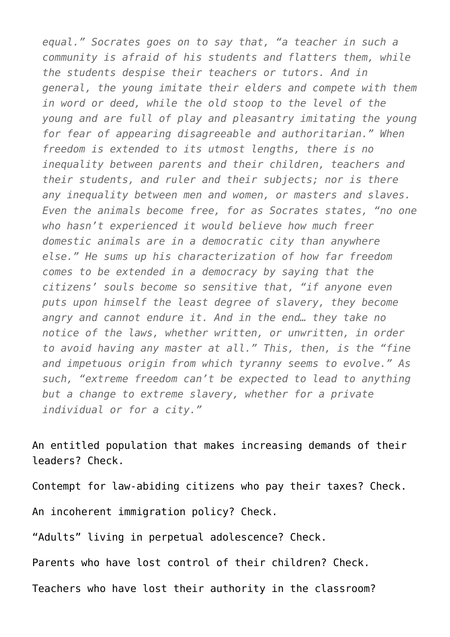*equal." Socrates goes on to say that, "a teacher in such a community is afraid of his students and flatters them, while the students despise their teachers or tutors. And in general, the young imitate their elders and compete with them in word or deed, while the old stoop to the level of the young and are full of play and pleasantry imitating the young for fear of appearing disagreeable and authoritarian." When freedom is extended to its utmost lengths, there is no inequality between parents and their children, teachers and their students, and ruler and their subjects; nor is there any inequality between men and women, or masters and slaves. Even the animals become free, for as Socrates states, "no one who hasn't experienced it would believe how much freer domestic animals are in a democratic city than anywhere else." He sums up his characterization of how far freedom comes to be extended in a democracy by saying that the citizens' souls become so sensitive that, "if anyone even puts upon himself the least degree of slavery, they become angry and cannot endure it. And in the end… they take no notice of the laws, whether written, or unwritten, in order to avoid having any master at all." This, then, is the "fine and impetuous origin from which tyranny seems to evolve." As such, "extreme freedom can't be expected to lead to anything but a change to extreme slavery, whether for a private individual or for a city."*

An entitled population that makes increasing demands of their leaders? Check.

Contempt for law-abiding citizens who pay their taxes? Check.

An incoherent immigration policy? Check.

"Adults" living in perpetual adolescence? Check.

Parents who have lost control of their children? Check.

Teachers who have lost their authority in the classroom?